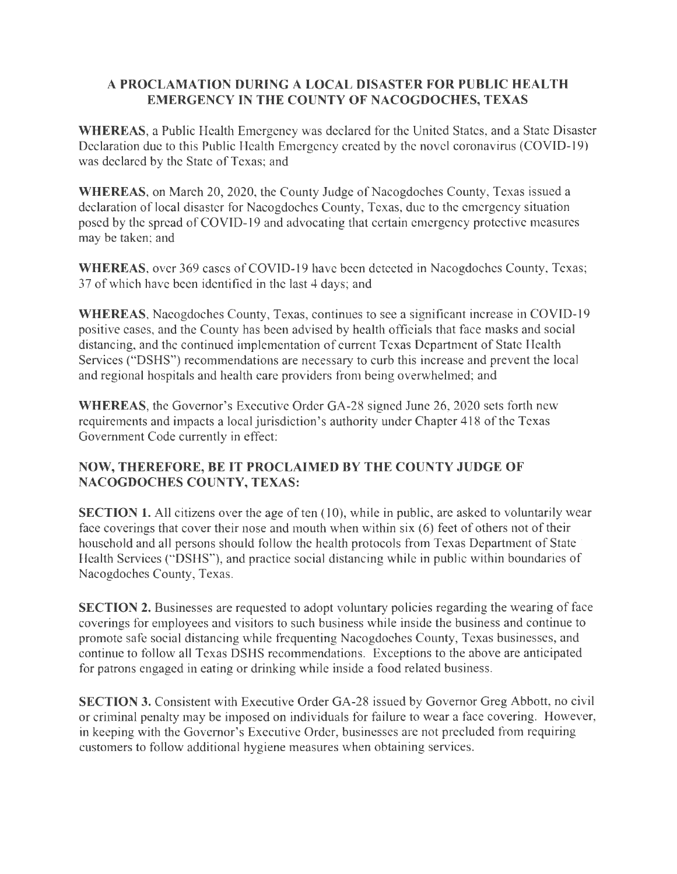## **A PROCLAMATION DURING A LOCAL DISASTER FOR PUBLIC HEALTH EMERGENCY IN THE COUNTY OF NACOGDOCHES, TEXAS**

**WHEREAS,** a Public Health Emergency was declared for the United States, and a State Disaster Declaration due to this Public Health Emergency created by the novel coronavirus (COVID-19) was declared by the State of Texas; and

**WHEREAS,** on March 20, 2020, the County Judge of Nacogdoches County, Texas issued a declaration of local disaster for Nacogdoches County, Texas, due to the emergency situation posed by the spread of COVID-19 and advocating that certain emergency protective measures may be taken; and

WHEREAS, over 369 cases of COVID-19 have been detected in Nacogdoches County, Texas; 3 7 of which have been identified in the last 4 days; and

**WHEREAS,** Nacogdoches County, Texas, continues to see a significant increase in COVID-19 positive cases, and the County has been advised by health officials that face masks and social distancing, and the continued implementation of current Texas Department of State Health Services ("DSHS") recommendations are necessary to curb this increase and prevent the local and regional hospitals and health care providers from being overwhelmed; and

**WHEREAS,** the Governor's Executive Order GA-28 signed June 26, 2020 sets forth new requirements and impacts a local jurisdiction's authority under Chapter 418 of the Texas Government Code currently in effect:

## **NOW, THEREFORE, BE IT PROCLAIMED BY THE COUNTY JUDGE OF NACOGDOCHES COUNTY, TEXAS:**

**SECTION 1.** All citizens over the age of ten (10), while in public, are asked to voluntarily wear face coverings that cover their nose and mouth when within six (6) feet of others not of their household and all persons should follow the health protocols from Texas Department of State Health Services ("DSHS"), and practice social distancing while in public within boundaries of Nacogdoches County, Texas.

**SECTION 2.** Businesses are requested to adopt voluntary policies regarding the wearing of face coverings for employees and visitors to such business while inside the business and continue to promote safe social distancing while frequenting Nacogdoches County, Texas businesses, and continue to follow all Texas DSHS recommendations. Exceptions to the above are anticipated for patrons engaged in eating or drinking while inside a food related business.

**SECTION 3.** Consistent with Executive Order GA-28 issued by Governor Greg Abbott, no civil or criminal penalty may be imposed on individuals for failure to wear a face covering. However, in keeping with the Governor's Executive Order, businesses are not precluded from requiring customers to follow additional hygiene measures when obtaining services.